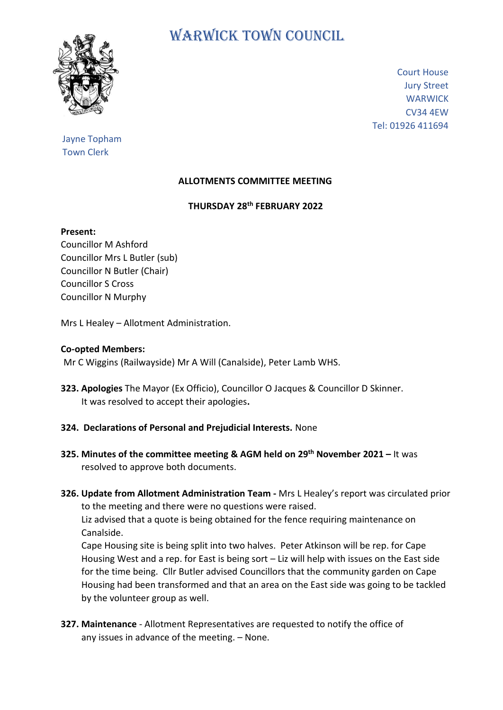

# WARWICK TOWN COUNCIL

Court House Jury Street **WARWICK** CV34 4EW Tel: 01926 411694

## Jayne Topham Town Clerk

### **ALLOTMENTS COMMITTEE MEETING**

#### **THURSDAY 28 th FEBRUARY 2022**

#### **Present:**

Councillor M Ashford Councillor Mrs L Butler (sub) Councillor N Butler (Chair) Councillor S Cross Councillor N Murphy

Mrs L Healey – Allotment Administration.

#### **Co-opted Members:**

Mr C Wiggins (Railwayside) Mr A Will (Canalside), Peter Lamb WHS.

- **323. Apologies** The Mayor (Ex Officio), Councillor O Jacques & Councillor D Skinner. It was resolved to accept their apologies**.**
- **324. Declarations of Personal and Prejudicial Interests.** None
- **325. Minutes of the committee meeting & AGM held on 29th November 2021 –** It was resolved to approve both documents.
- **326. Update from Allotment Administration Team -** Mrs L Healey's report was circulated prior to the meeting and there were no questions were raised. Liz advised that a quote is being obtained for the fence requiring maintenance on Canalside.

 Cape Housing site is being split into two halves. Peter Atkinson will be rep. for Cape Housing West and a rep. for East is being sort – Liz will help with issues on the East side for the time being. Cllr Butler advised Councillors that the community garden on Cape Housing had been transformed and that an area on the East side was going to be tackled by the volunteer group as well.

**327. Maintenance** - Allotment Representatives are requested to notify the office of any issues in advance of the meeting. – None.